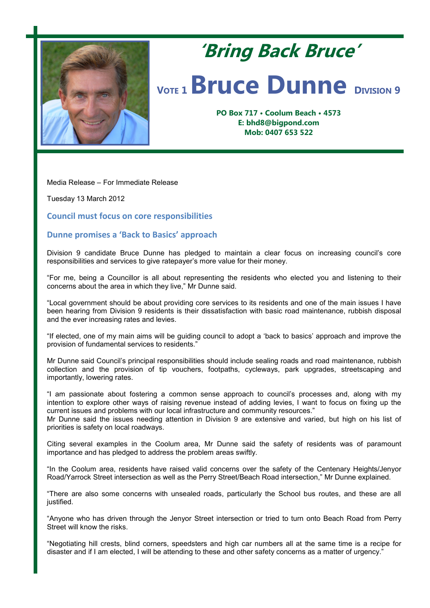

## **'Bring Back Bruce'** *VOTE* **1 <b>Bruce Dunne DIVISION** 9

**PO Box 717 • Coolum Beach • 4573 E: bhd8@bigpond.com Mob: 0407 653 522**

Media Release – For Immediate Release

Tuesday 13 March 2012

**Council must focus on core responsibilities**

## **Dunne promises a 'Back to Basics' approach**

Division 9 candidate Bruce Dunne has pledged to maintain a clear focus on increasing council's core responsibilities and services to give ratepayer's more value for their money.

"For me, being a Councillor is all about representing the residents who elected you and listening to their concerns about the area in which they live," Mr Dunne said.

"Local government should be about providing core services to its residents and one of the main issues I have been hearing from Division 9 residents is their dissatisfaction with basic road maintenance, rubbish disposal and the ever increasing rates and levies.

"If elected, one of my main aims will be guiding council to adopt a 'back to basics' approach and improve the provision of fundamental services to residents."

Mr Dunne said Council's principal responsibilities should include sealing roads and road maintenance, rubbish collection and the provision of tip vouchers, footpaths, cycleways, park upgrades, streetscaping and importantly, lowering rates.

"I am passionate about fostering a common sense approach to council's processes and, along with my intention to explore other ways of raising revenue instead of adding levies, I want to focus on fixing up the current issues and problems with our local infrastructure and community resources."

Mr Dunne said the issues needing attention in Division 9 are extensive and varied, but high on his list of priorities is safety on local roadways.

Citing several examples in the Coolum area, Mr Dunne said the safety of residents was of paramount importance and has pledged to address the problem areas swiftly.

"In the Coolum area, residents have raised valid concerns over the safety of the Centenary Heights/Jenyor Road/Yarrock Street intersection as well as the Perry Street/Beach Road intersection," Mr Dunne explained.

"There are also some concerns with unsealed roads, particularly the School bus routes, and these are all justified.

"Anyone who has driven through the Jenyor Street intersection or tried to turn onto Beach Road from Perry Street will know the risks.

"Negotiating hill crests, blind corners, speedsters and high car numbers all at the same time is a recipe for disaster and if I am elected, I will be attending to these and other safety concerns as a matter of urgency."